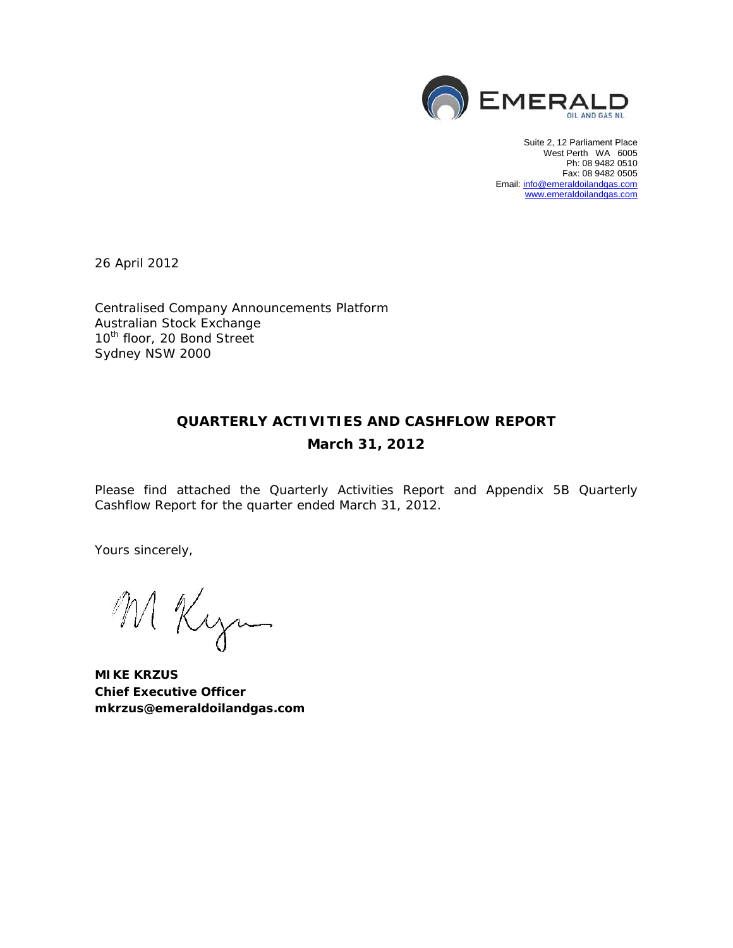

Suite 2, 12 Parliament Place West Perth WA 6005 Ph: 08 9482 0510 Fax: 08 9482 0505 Email: info@emeraldoilandgas.com www.emeraldoilandgas.com

26 April 2012

Centralised Company Announcements Platform Australian Stock Exchange 10<sup>th</sup> floor, 20 Bond Street Sydney NSW 2000

# **QUARTERLY ACTIVITIES AND CASHFLOW REPORT March 31, 2012**

Please find attached the Quarterly Activities Report and Appendix 5B Quarterly Cashflow Report for the quarter ended March 31, 2012.

Yours sincerely,

M Kym

**MIKE KRZUS Chief Executive Officer**  *mkrzus@emeraldoilandgas.com*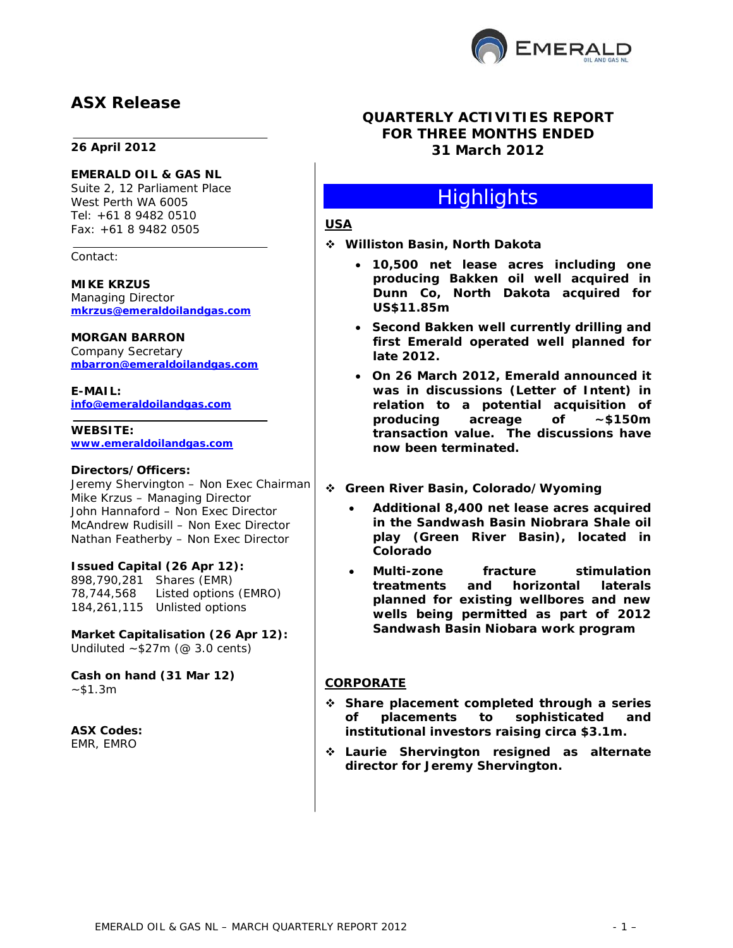

# **ASX Release**

#### **26 April 2012**

**EMERALD OIL & GAS NL**  Suite 2, 12 Parliament Place West Perth WA 6005 Tel: +61 8 9482 0510 Fax: +61 8 9482 0505

Contact:

**MIKE KRZUS**  Managing Director *mkrzus@emeraldoilandgas.com*

#### **MORGAN BARRON**

Company Secretary *mbarron@emeraldoilandgas.com*

**E-MAIL:**  *info@emeraldoilandgas.com*

**WEBSITE:**  *www.emeraldoilandgas.com*

#### **Directors/Officers:**

Jeremy Shervington – Non Exec Chairman Mike Krzus – Managing Director John Hannaford – Non Exec Director McAndrew Rudisill – Non Exec Director Nathan Featherby – Non Exec Director

#### **Issued Capital (26 Apr 12):**

898,790,281 Shares (EMR) 78,744,568 Listed options (EMRO) 184,261,115 Unlisted options

**Market Capitalisation (26 Apr 12):**  Undiluted  $~527m$  (@ 3.0 cents)

**Cash on hand (31 Mar 12)**   $~-$ \$1.3m

**ASX Codes:**  EMR, EMRO

### **QUARTERLY ACTIVITIES REPORT FOR THREE MONTHS ENDED 31 March 2012**

# **Highlights**

### **USA**

- *Williston Basin, North Dakota*
	- **10,500 net lease acres including one producing Bakken oil well acquired in Dunn Co, North Dakota acquired for US\$11.85m**
	- **Second Bakken well currently drilling and first Emerald operated well planned for late 2012.**
	- **On 26 March 2012, Emerald announced it was in discussions (Letter of Intent) in relation to a potential acquisition of producing acreage of ~\$150m transaction value. The discussions have now been terminated.**

#### *Green River Basin, Colorado/Wyoming*

- **Additional 8,400 net lease acres acquired in the Sandwash Basin Niobrara Shale oil play (Green River Basin), located in Colorado**
- **Multi-zone fracture stimulation treatments and horizontal laterals planned for existing wellbores and new wells being permitted as part of 2012 Sandwash Basin Niobara work program**

#### **CORPORATE**

- **Share placement completed through a series of placements to sophisticated and institutional investors raising circa \$3.1m.**
- **Laurie Shervington resigned as alternate director for Jeremy Shervington.**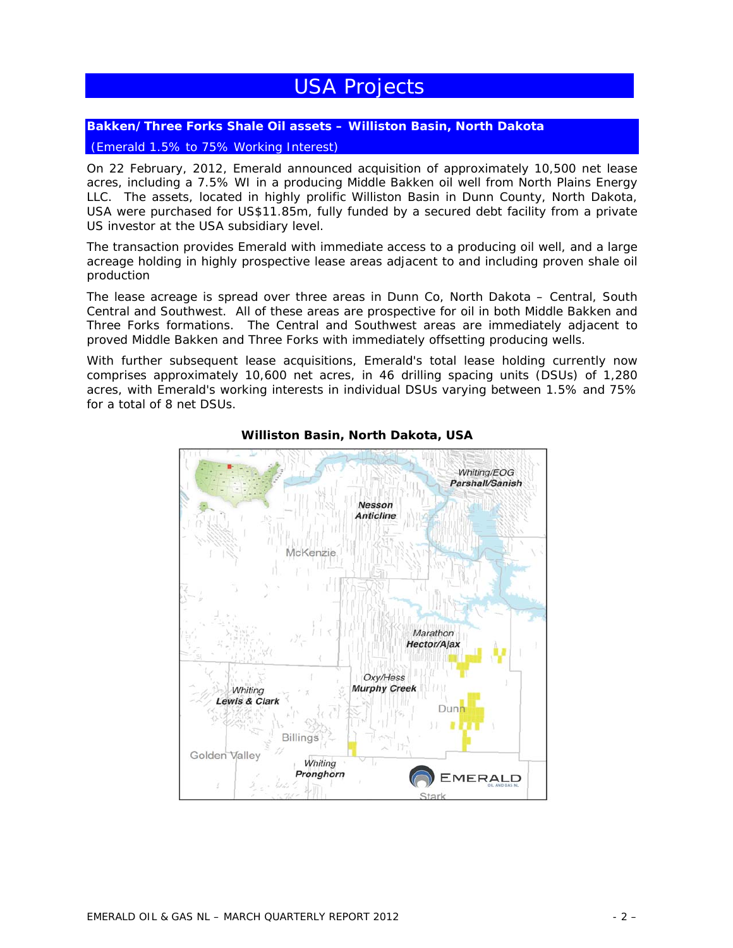# USA Projects

#### **Bakken/Three Forks Shale Oil assets – Williston Basin, North Dakota**

#### *(Emerald 1.5% to 75% Working Interest)*

On 22 February, 2012, Emerald announced acquisition of approximately 10,500 net lease acres, including a 7.5% WI in a producing Middle Bakken oil well from North Plains Energy LLC. The assets, located in highly prolific Williston Basin in Dunn County, North Dakota, USA were purchased for US\$11.85m, fully funded by a secured debt facility from a private US investor at the USA subsidiary level.

The transaction provides Emerald with immediate access to a producing oil well, and a large acreage holding in highly prospective lease areas adjacent to and including proven shale oil production

The lease acreage is spread over three areas in Dunn Co, North Dakota – Central, South Central and Southwest. All of these areas are prospective for oil in both Middle Bakken and Three Forks formations. The Central and Southwest areas are immediately adjacent to proved Middle Bakken and Three Forks with immediately offsetting producing wells.

With further subsequent lease acquisitions, Emerald's total lease holding currently now comprises approximately 10,600 net acres, in 46 drilling spacing units (DSUs) of 1,280 acres, with Emerald's working interests in individual DSUs varying between 1.5% and 75% for a total of 8 net DSUs.



#### **Williston Basin, North Dakota, USA**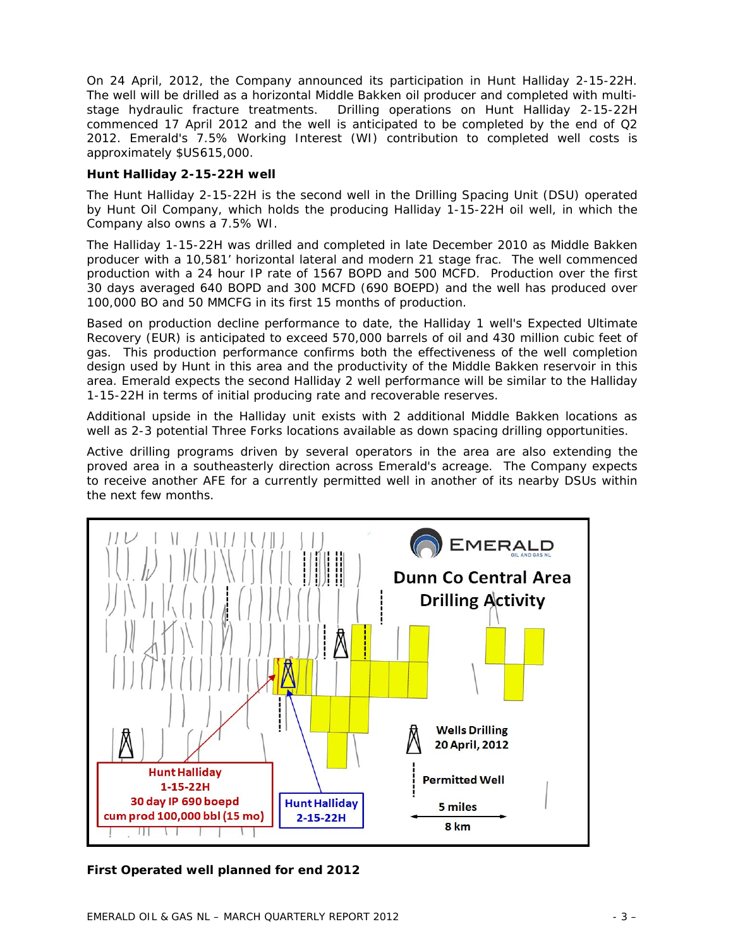On 24 April, 2012, the Company announced its participation in Hunt Halliday 2-15-22H. The well will be drilled as a horizontal Middle Bakken oil producer and completed with multistage hydraulic fracture treatments. Drilling operations on Hunt Halliday 2-15-22H commenced 17 April 2012 and the well is anticipated to be completed by the end of Q2 2012. Emerald's 7.5% Working Interest (WI) contribution to completed well costs is approximately \$US615,000.

#### **Hunt Halliday 2-15-22H well**

The Hunt Halliday 2-15-22H is the second well in the Drilling Spacing Unit (DSU) operated by Hunt Oil Company, which holds the producing Halliday 1-15-22H oil well, in which the Company also owns a 7.5% WI.

The Halliday 1-15-22H was drilled and completed in late December 2010 as Middle Bakken producer with a 10,581' horizontal lateral and modern 21 stage frac. The well commenced production with a 24 hour IP rate of 1567 BOPD and 500 MCFD. Production over the first 30 days averaged 640 BOPD and 300 MCFD (690 BOEPD) and the well has produced over 100,000 BO and 50 MMCFG in its first 15 months of production.

Based on production decline performance to date, the Halliday 1 well's Expected Ultimate Recovery (EUR) is anticipated to exceed 570,000 barrels of oil and 430 million cubic feet of gas. This production performance confirms both the effectiveness of the well completion design used by Hunt in this area and the productivity of the Middle Bakken reservoir in this area. Emerald expects the second Halliday 2 well performance will be similar to the Halliday 1-15-22H in terms of initial producing rate and recoverable reserves.

Additional upside in the Halliday unit exists with 2 additional Middle Bakken locations as well as 2-3 potential Three Forks locations available as down spacing drilling opportunities.

Active drilling programs driven by several operators in the area are also extending the proved area in a southeasterly direction across Emerald's acreage. The Company expects to receive another AFE for a currently permitted well in another of its nearby DSUs within the next few months.



**First Operated well planned for end 2012**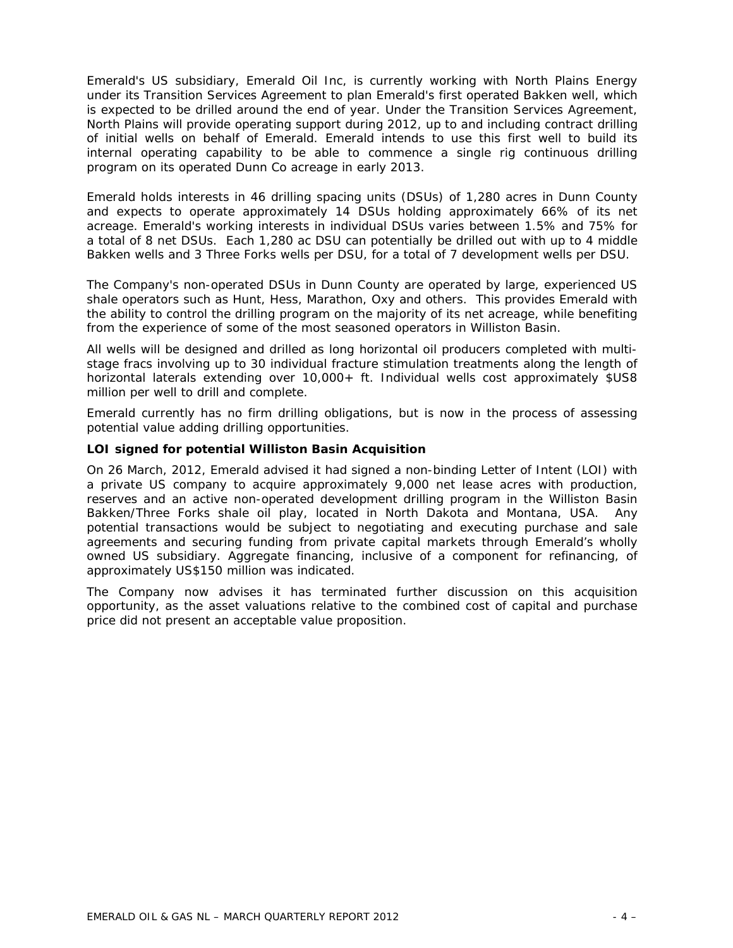Emerald's US subsidiary, Emerald Oil Inc, is currently working with North Plains Energy under its Transition Services Agreement to plan Emerald's first operated Bakken well, which is expected to be drilled around the end of year. Under the Transition Services Agreement, North Plains will provide operating support during 2012, up to and including contract drilling of initial wells on behalf of Emerald. Emerald intends to use this first well to build its internal operating capability to be able to commence a single rig continuous drilling program on its operated Dunn Co acreage in early 2013.

Emerald holds interests in 46 drilling spacing units (DSUs) of 1,280 acres in Dunn County and expects to operate approximately 14 DSUs holding approximately 66% of its net acreage. Emerald's working interests in individual DSUs varies between 1.5% and 75% for a total of 8 net DSUs. Each 1,280 ac DSU can potentially be drilled out with up to 4 middle Bakken wells and 3 Three Forks wells per DSU, for a total of 7 development wells per DSU.

The Company's non-operated DSUs in Dunn County are operated by large, experienced US shale operators such as Hunt, Hess, Marathon, Oxy and others. This provides Emerald with the ability to control the drilling program on the majority of its net acreage, while benefiting from the experience of some of the most seasoned operators in Williston Basin.

All wells will be designed and drilled as long horizontal oil producers completed with multistage fracs involving up to 30 individual fracture stimulation treatments along the length of horizontal laterals extending over 10,000+ ft. Individual wells cost approximately \$US8 million per well to drill and complete.

Emerald currently has no firm drilling obligations, but is now in the process of assessing potential value adding drilling opportunities.

#### **LOI signed for potential Williston Basin Acquisition**

On 26 March, 2012, Emerald advised it had signed a non-binding Letter of Intent (LOI) with a private US company to acquire approximately 9,000 net lease acres with production, reserves and an active non-operated development drilling program in the Williston Basin Bakken/Three Forks shale oil play, located in North Dakota and Montana, USA. Any potential transactions would be subject to negotiating and executing purchase and sale agreements and securing funding from private capital markets through Emerald's wholly owned US subsidiary. Aggregate financing, inclusive of a component for refinancing, of approximately US\$150 million was indicated.

The Company now advises it has terminated further discussion on this acquisition opportunity, as the asset valuations relative to the combined cost of capital and purchase price did not present an acceptable value proposition.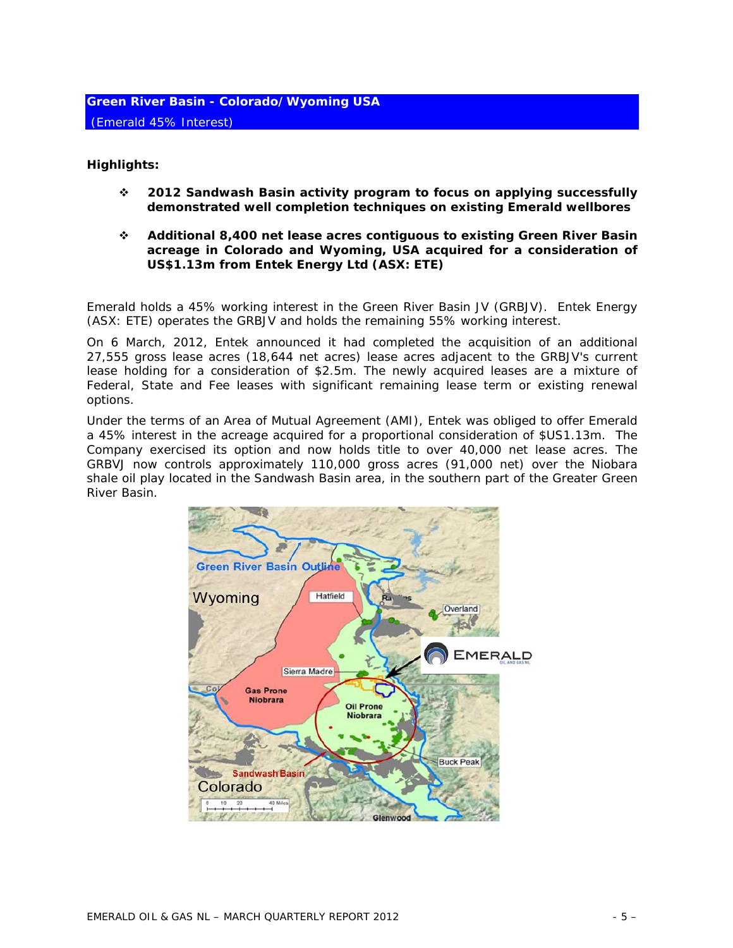## **Green River Basin - Colorado/Wyoming USA**   *(Emerald 45% Interest)*

#### **Highlights:**

- **2012 Sandwash Basin activity program to focus on applying successfully demonstrated well completion techniques on existing Emerald wellbores**
- **Additional 8,400 net lease acres contiguous to existing Green River Basin acreage in Colorado and Wyoming, USA acquired for a consideration of US\$1.13m from Entek Energy Ltd (ASX: ETE)**

Emerald holds a 45% working interest in the Green River Basin JV (GRBJV). Entek Energy (ASX: ETE) operates the GRBJV and holds the remaining 55% working interest.

On 6 March, 2012, Entek announced it had completed the acquisition of an additional 27,555 gross lease acres (18,644 net acres) lease acres adjacent to the GRBJV's current lease holding for a consideration of \$2.5m. The newly acquired leases are a mixture of Federal, State and Fee leases with significant remaining lease term or existing renewal options.

Under the terms of an Area of Mutual Agreement (AMI), Entek was obliged to offer Emerald a 45% interest in the acreage acquired for a proportional consideration of \$US1.13m. The Company exercised its option and now holds title to over 40,000 net lease acres. The GRBVJ now controls approximately 110,000 gross acres (91,000 net) over the Niobara shale oil play located in the Sandwash Basin area, in the southern part of the Greater Green River Basin.

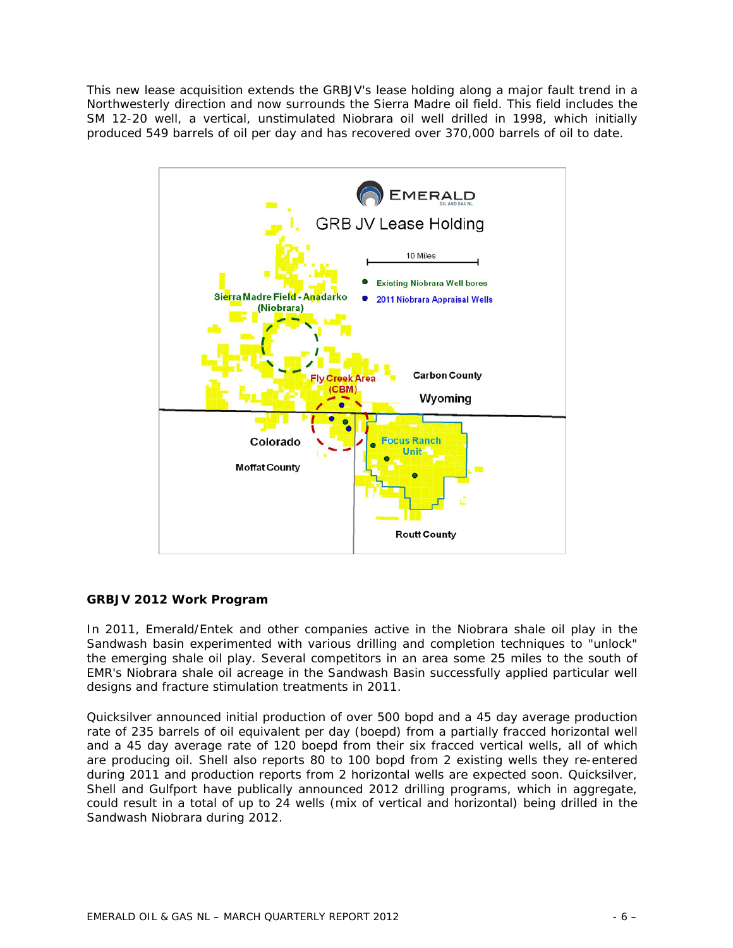This new lease acquisition extends the GRBJV's lease holding along a major fault trend in a Northwesterly direction and now surrounds the Sierra Madre oil field. This field includes the SM 12-20 well, a vertical, unstimulated Niobrara oil well drilled in 1998, which initially produced 549 barrels of oil per day and has recovered over 370,000 barrels of oil to date.



#### **GRBJV 2012 Work Program**

In 2011, Emerald/Entek and other companies active in the Niobrara shale oil play in the Sandwash basin experimented with various drilling and completion techniques to "unlock" the emerging shale oil play. Several competitors in an area some 25 miles to the south of EMR's Niobrara shale oil acreage in the Sandwash Basin successfully applied particular well designs and fracture stimulation treatments in 2011.

Quicksilver announced initial production of over 500 bopd and a 45 day average production rate of 235 barrels of oil equivalent per day (boepd) from a partially fracced horizontal well and a 45 day average rate of 120 boepd from their six fracced vertical wells, all of which are producing oil. Shell also reports 80 to 100 bopd from 2 existing wells they re-entered during 2011 and production reports from 2 horizontal wells are expected soon. Quicksilver, Shell and Gulfport have publically announced 2012 drilling programs, which in aggregate, could result in a total of up to 24 wells (mix of vertical and horizontal) being drilled in the Sandwash Niobrara during 2012.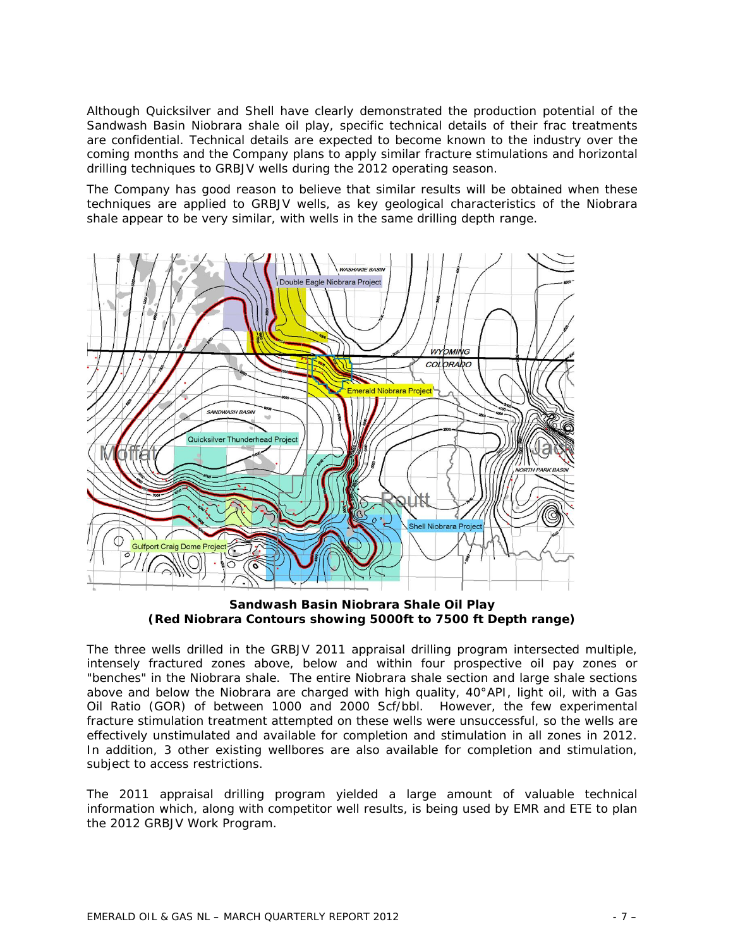Although Quicksilver and Shell have clearly demonstrated the production potential of the Sandwash Basin Niobrara shale oil play, specific technical details of their frac treatments are confidential. Technical details are expected to become known to the industry over the coming months and the Company plans to apply similar fracture stimulations and horizontal drilling techniques to GRBJV wells during the 2012 operating season.

The Company has good reason to believe that similar results will be obtained when these techniques are applied to GRBJV wells, as key geological characteristics of the Niobrara shale appear to be very similar, with wells in the same drilling depth range.



**Sandwash Basin Niobrara Shale Oil Play (Red Niobrara Contours showing 5000ft to 7500 ft Depth range)** 

The three wells drilled in the GRBJV 2011 appraisal drilling program intersected multiple, intensely fractured zones above, below and within four prospective oil pay zones or "benches" in the Niobrara shale. The entire Niobrara shale section and large shale sections above and below the Niobrara are charged with high quality, 40°API, light oil, with a Gas Oil Ratio (GOR) of between 1000 and 2000 Scf/bbl. However, the few experimental fracture stimulation treatment attempted on these wells were unsuccessful, so the wells are effectively unstimulated and available for completion and stimulation in all zones in 2012. In addition, 3 other existing wellbores are also available for completion and stimulation, subject to access restrictions.

The 2011 appraisal drilling program yielded a large amount of valuable technical information which, along with competitor well results, is being used by EMR and ETE to plan the 2012 GRBJV Work Program.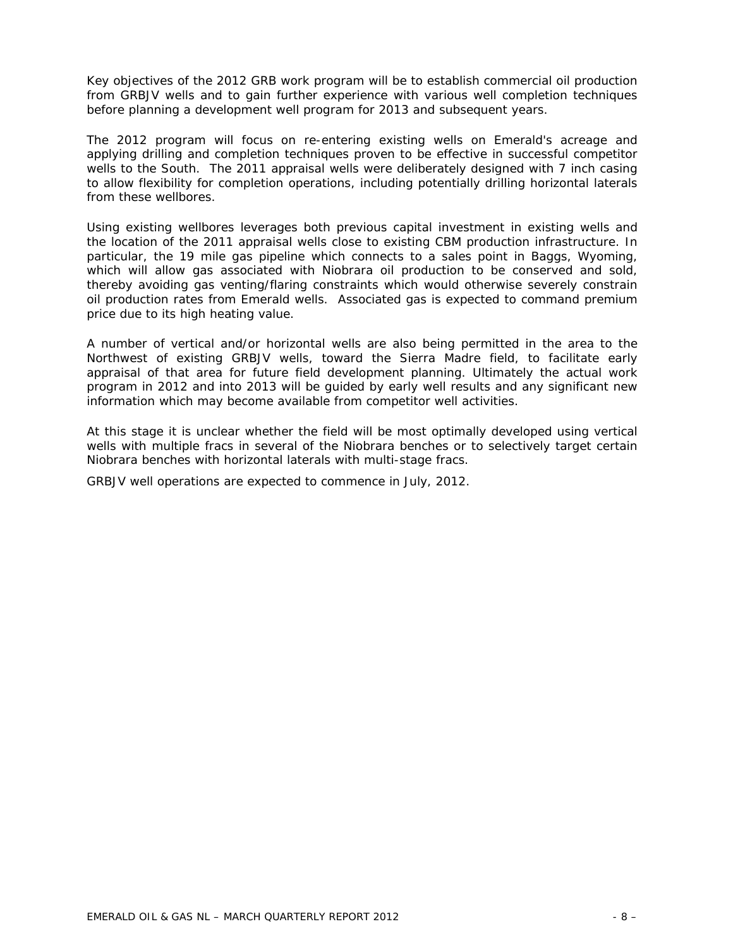Key objectives of the 2012 GRB work program will be to establish commercial oil production from GRBJV wells and to gain further experience with various well completion techniques before planning a development well program for 2013 and subsequent years.

The 2012 program will focus on re-entering existing wells on Emerald's acreage and applying drilling and completion techniques proven to be effective in successful competitor wells to the South. The 2011 appraisal wells were deliberately designed with 7 inch casing to allow flexibility for completion operations, including potentially drilling horizontal laterals from these wellbores.

Using existing wellbores leverages both previous capital investment in existing wells and the location of the 2011 appraisal wells close to existing CBM production infrastructure. In particular, the 19 mile gas pipeline which connects to a sales point in Baggs, Wyoming, which will allow gas associated with Niobrara oil production to be conserved and sold, thereby avoiding gas venting/flaring constraints which would otherwise severely constrain oil production rates from Emerald wells. Associated gas is expected to command premium price due to its high heating value.

A number of vertical and/or horizontal wells are also being permitted in the area to the Northwest of existing GRBJV wells, toward the Sierra Madre field, to facilitate early appraisal of that area for future field development planning. Ultimately the actual work program in 2012 and into 2013 will be guided by early well results and any significant new information which may become available from competitor well activities.

At this stage it is unclear whether the field will be most optimally developed using vertical wells with multiple fracs in several of the Niobrara benches or to selectively target certain Niobrara benches with horizontal laterals with multi-stage fracs.

GRBJV well operations are expected to commence in July, 2012.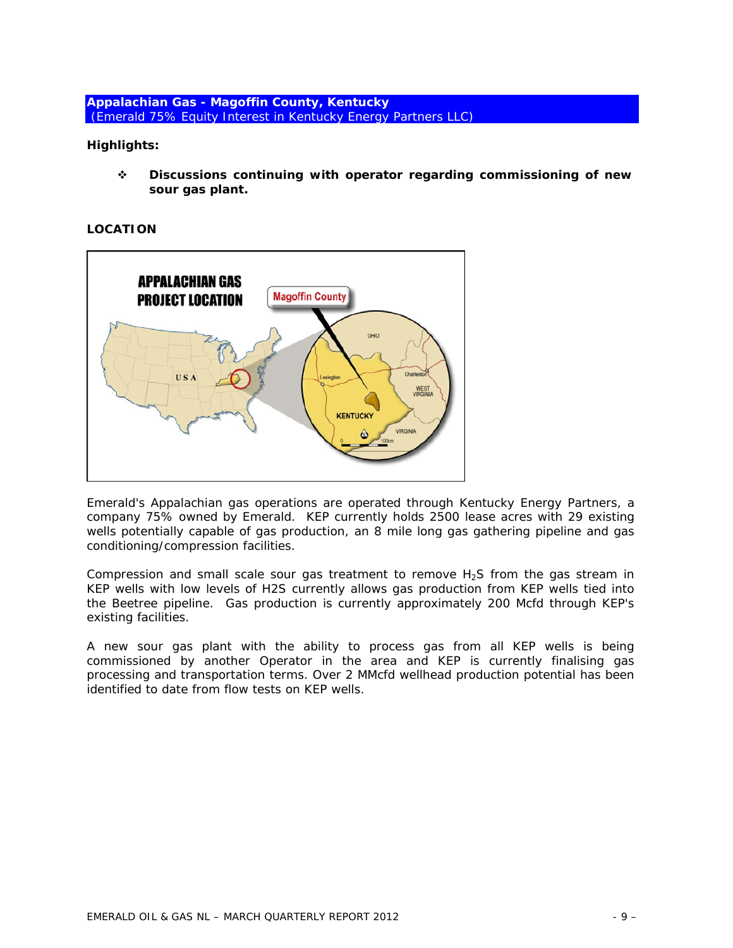**Appalachian Gas - Magoffin County, Kentucky**   *(Emerald 75% Equity Interest in Kentucky Energy Partners LLC)* 

**Highlights:** 

 **Discussions continuing with operator regarding commissioning of new sour gas plant.** 

#### **LOCATION**



Emerald's Appalachian gas operations are operated through Kentucky Energy Partners, a company 75% owned by Emerald. KEP currently holds 2500 lease acres with 29 existing wells potentially capable of gas production, an 8 mile long gas gathering pipeline and gas conditioning/compression facilities.

Compression and small scale sour gas treatment to remove  $H_2S$  from the gas stream in KEP wells with low levels of H2S currently allows gas production from KEP wells tied into the Beetree pipeline. Gas production is currently approximately 200 Mcfd through KEP's existing facilities.

A new sour gas plant with the ability to process gas from all KEP wells is being commissioned by another Operator in the area and KEP is currently finalising gas processing and transportation terms. Over 2 MMcfd wellhead production potential has been identified to date from flow tests on KEP wells.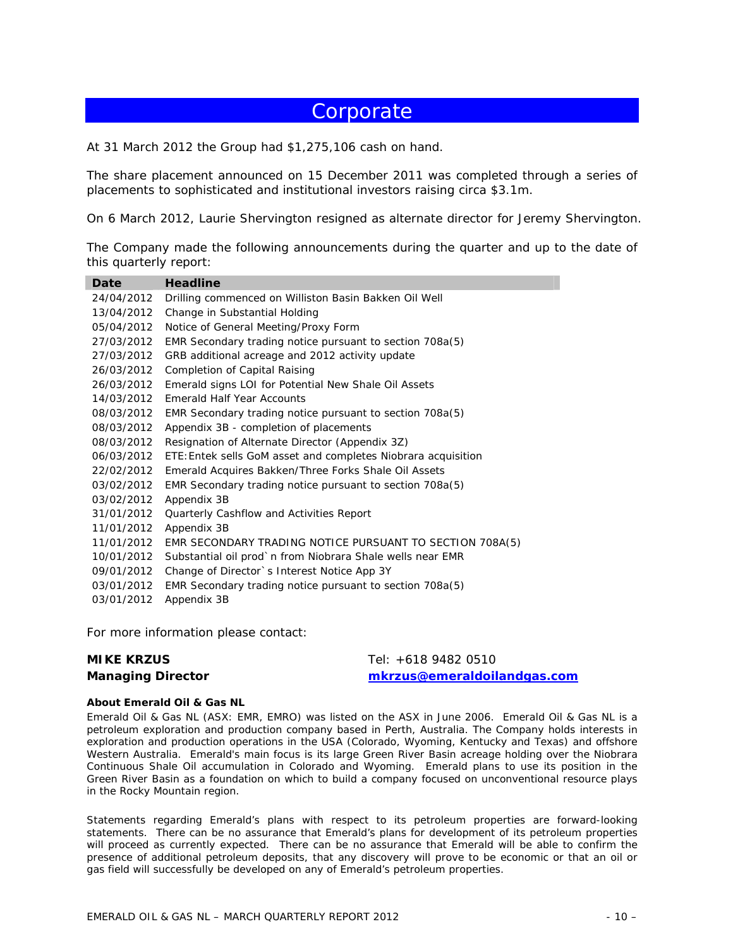# **Corporate**

At 31 March 2012 the Group had \$1,275,106 cash on hand.

The share placement announced on 15 December 2011 was completed through a series of placements to sophisticated and institutional investors raising circa \$3.1m.

On 6 March 2012, Laurie Shervington resigned as alternate director for Jeremy Shervington.

The Company made the following announcements during the quarter and up to the date of this quarterly report:

| Date       | <b>Headline</b>                                               |
|------------|---------------------------------------------------------------|
| 24/04/2012 | Drilling commenced on Williston Basin Bakken Oil Well         |
| 13/04/2012 | Change in Substantial Holding                                 |
| 05/04/2012 | Notice of General Meeting/Proxy Form                          |
| 27/03/2012 | EMR Secondary trading notice pursuant to section 708a(5)      |
| 27/03/2012 | GRB additional acreage and 2012 activity update               |
| 26/03/2012 | Completion of Capital Raising                                 |
| 26/03/2012 | Emerald signs LOI for Potential New Shale Oil Assets          |
| 14/03/2012 | <b>Emerald Half Year Accounts</b>                             |
| 08/03/2012 | EMR Secondary trading notice pursuant to section 708a(5)      |
| 08/03/2012 | Appendix 3B - completion of placements                        |
| 08/03/2012 | Resignation of Alternate Director (Appendix 3Z)               |
| 06/03/2012 | ETE: Entek sells GoM asset and completes Niobrara acquisition |
| 22/02/2012 | Emerald Acquires Bakken/Three Forks Shale Oil Assets          |
| 03/02/2012 | EMR Secondary trading notice pursuant to section 708a(5)      |
| 03/02/2012 | Appendix 3B                                                   |
| 31/01/2012 | Quarterly Cashflow and Activities Report                      |
| 11/01/2012 | Appendix 3B                                                   |
| 11/01/2012 | EMR SECONDARY TRADING NOTICE PURSUANT TO SECTION 708A(5)      |
| 10/01/2012 | Substantial oil prod'n from Niobrara Shale wells near EMR     |
| 09/01/2012 | Change of Director's Interest Notice App 3Y                   |
| 03/01/2012 | EMR Secondary trading notice pursuant to section 708a(5)      |
| 03/01/2012 | Appendix 3B                                                   |
|            |                                                               |

For more information please contact:

### **MIKE KRZUS Managing Director**

Tel: +618 9482 0510 *mkrzus@emeraldoilandgas.com*

#### **About Emerald Oil & Gas NL**

Emerald Oil & Gas NL (ASX: EMR, EMRO) was listed on the ASX in June 2006. Emerald Oil & Gas NL is a petroleum exploration and production company based in Perth, Australia. The Company holds interests in exploration and production operations in the USA (Colorado, Wyoming, Kentucky and Texas) and offshore Western Australia. Emerald's main focus is its large Green River Basin acreage holding over the Niobrara Continuous Shale Oil accumulation in Colorado and Wyoming. Emerald plans to use its position in the Green River Basin as a foundation on which to build a company focused on unconventional resource plays in the Rocky Mountain region.

*Statements regarding Emerald's plans with respect to its petroleum properties are forward-looking statements. There can be no assurance that Emerald's plans for development of its petroleum properties will proceed as currently expected. There can be no assurance that Emerald will be able to confirm the presence of additional petroleum deposits, that any discovery will prove to be economic or that an oil or gas field will successfully be developed on any of Emerald's petroleum properties.*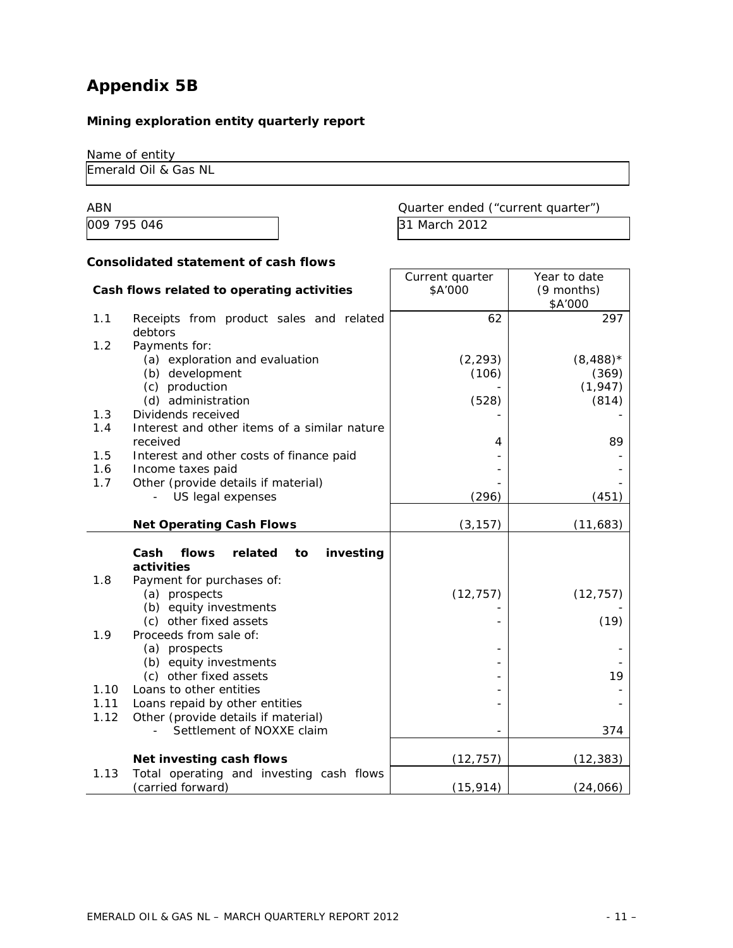# **Appendix 5B**

### **Mining exploration entity quarterly report**

Name of entity

Emerald Oil & Gas NL

ABN ABN Quarter ended ("current quarter") 009 795 046 31 March 2012

Year to date

Current quarter

### **Consolidated statement of cash flows**

| Cash flows related to operating activities |                                                                                        | \$A'000   | (9 months)<br>\$A'000 |
|--------------------------------------------|----------------------------------------------------------------------------------------|-----------|-----------------------|
| 1.1                                        | Receipts from product sales and related<br>debtors                                     | 62        | 297                   |
| 1.2                                        | Payments for:                                                                          |           |                       |
|                                            | (a) exploration and evaluation                                                         | (2, 293)  | $(8,488)$ *           |
|                                            | (b) development                                                                        | (106)     | (369)                 |
|                                            | (c) production                                                                         |           | (1, 947)              |
|                                            | (d) administration                                                                     | (528)     | (814)                 |
| 1.3                                        | Dividends received                                                                     |           |                       |
| 1.4                                        | Interest and other items of a similar nature                                           |           |                       |
|                                            | received                                                                               | 4         | 89                    |
| 1.5                                        | Interest and other costs of finance paid                                               |           |                       |
| 1.6                                        | Income taxes paid                                                                      |           |                       |
| 1.7                                        | Other (provide details if material)<br>US legal expenses                               | (296)     | (451)                 |
|                                            |                                                                                        |           |                       |
|                                            | <b>Net Operating Cash Flows</b>                                                        | (3, 157)  | (11,683)              |
| 1.8                                        | Cash<br>flows<br>related<br>investing<br>to<br>activities<br>Payment for purchases of: |           |                       |
|                                            | (a) prospects                                                                          | (12, 757) | (12, 757)             |
|                                            | (b) equity investments                                                                 |           |                       |
|                                            | (c) other fixed assets                                                                 |           | (19)                  |
| 1.9                                        | Proceeds from sale of:                                                                 |           |                       |
|                                            | (a) prospects                                                                          |           |                       |
|                                            | (b) equity investments                                                                 |           |                       |
|                                            | (c) other fixed assets                                                                 |           | 19                    |
| 1.10                                       | Loans to other entities                                                                |           |                       |
| 1.11                                       | Loans repaid by other entities                                                         |           |                       |
| 1.12                                       | Other (provide details if material)                                                    |           |                       |
|                                            | Settlement of NOXXE claim                                                              |           | 374                   |
|                                            | Net investing cash flows                                                               | (12, 757) | (12, 383)             |
| 1.13                                       | Total operating and investing cash flows<br>(carried forward)                          | (15, 914) | (24,066)              |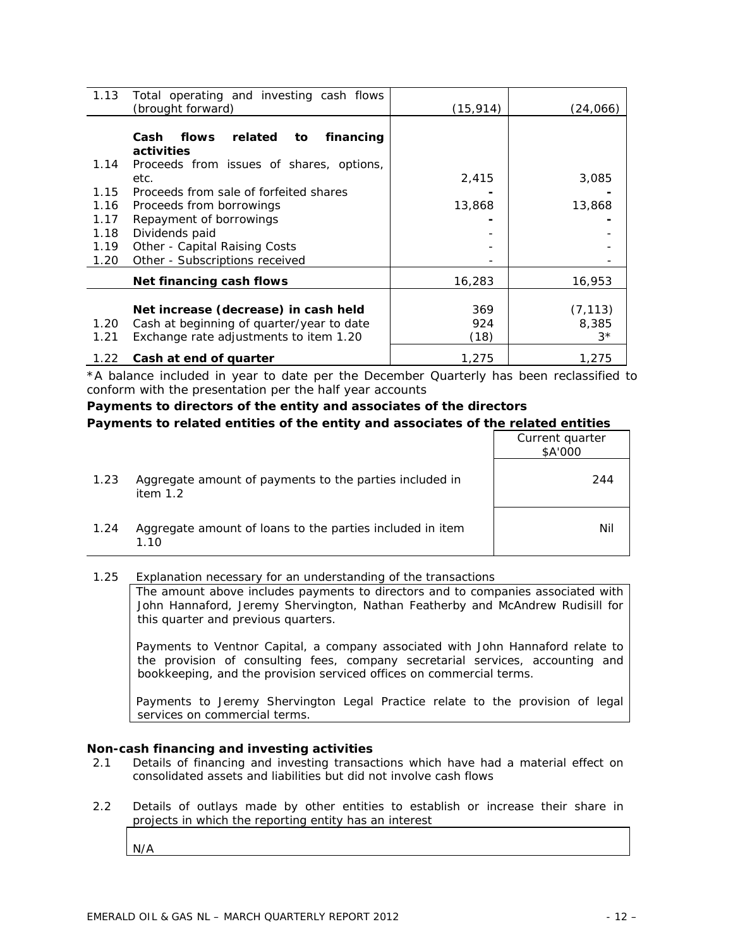| 1.13 | Total operating and investing cash flows<br>(brought forward) | (15, 914) | (24,066)    |
|------|---------------------------------------------------------------|-----------|-------------|
|      | related<br>financing<br>Cash<br>flows<br>to                   |           |             |
|      | activities                                                    |           |             |
| 1.14 | Proceeds from issues of shares, options,                      |           |             |
|      | etc.                                                          | 2,415     | 3,085       |
| 1.15 | Proceeds from sale of forfeited shares                        |           |             |
| 1.16 | Proceeds from borrowings                                      | 13,868    | 13,868      |
| 1.17 | Repayment of borrowings                                       |           |             |
| 1.18 | Dividends paid                                                |           |             |
| 1.19 | Other - Capital Raising Costs                                 |           |             |
| 1.20 | Other - Subscriptions received                                |           |             |
|      | Net financing cash flows                                      | 16,283    | 16,953      |
|      |                                                               |           |             |
|      | Net increase (decrease) in cash held                          | 369       | (7, 113)    |
| 1.20 | Cash at beginning of quarter/year to date                     | 924       | 8,385       |
| 1.21 | Exchange rate adjustments to item 1.20                        | (18)      | $3^{\star}$ |
| 1.22 | Cash at end of quarter                                        | 1,275     | 1,275       |

\*A balance included in year to date per the December Quarterly has been reclassified to conform with the presentation per the half year accounts

#### **Payments to directors of the entity and associates of the directors Payments to related entities of the entity and associates of the related entities**

|      |                                                                       | Current quarter<br>\$A'000 |
|------|-----------------------------------------------------------------------|----------------------------|
| 1.23 | Aggregate amount of payments to the parties included in<br>item $1.2$ | 244                        |
| 1.24 | Aggregate amount of loans to the parties included in item<br>1.10     | Nil                        |

#### 1.25 Explanation necessary for an understanding of the transactions

The amount above includes payments to directors and to companies associated with John Hannaford, Jeremy Shervington, Nathan Featherby and McAndrew Rudisill for this quarter and previous quarters.

Payments to Ventnor Capital, a company associated with John Hannaford relate to the provision of consulting fees, company secretarial services, accounting and bookkeeping, and the provision serviced offices on commercial terms.

Payments to Jeremy Shervington Legal Practice relate to the provision of legal services on commercial terms.

#### **Non-cash financing and investing activities**

- 2.1 Details of financing and investing transactions which have had a material effect on consolidated assets and liabilities but did not involve cash flows
- 2.2 Details of outlays made by other entities to establish or increase their share in projects in which the reporting entity has an interest

N/A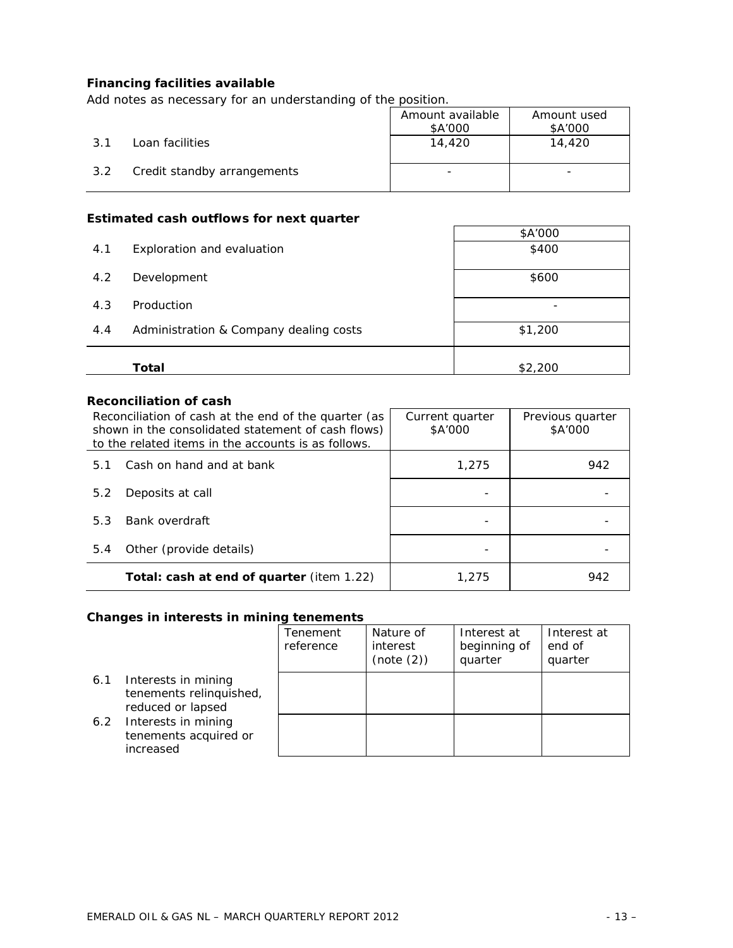#### **Financing facilities available**

*Add notes as necessary for an understanding of the position.* 

|     |                             | Amount available<br>\$A'000 | Amount used<br>\$A'000 |
|-----|-----------------------------|-----------------------------|------------------------|
| 3.1 | Loan facilities             | 14,420                      | 14,420                 |
| 3.2 | Credit standby arrangements |                             |                        |

#### **Estimated cash outflows for next quarter**

|     |                                        | \$A'000 |
|-----|----------------------------------------|---------|
| 4.1 | Exploration and evaluation             | \$400   |
| 4.2 | Development                            | \$600   |
| 4.3 | Production                             | -       |
| 4.4 | Administration & Company dealing costs | \$1,200 |
|     | Total                                  | \$2,200 |

#### **Reconciliation of cash**

| Reconciliation of cash at the end of the quarter (as<br>shown in the consolidated statement of cash flows)<br>to the related items in the accounts is as follows. | Current quarter<br>\$A'000 | Previous quarter<br>\$A'000 |
|-------------------------------------------------------------------------------------------------------------------------------------------------------------------|----------------------------|-----------------------------|
| Cash on hand and at bank<br>5.1                                                                                                                                   | 1,275                      | 942                         |
| Deposits at call<br>5.2                                                                                                                                           |                            |                             |
| Bank overdraft<br>5.3                                                                                                                                             |                            |                             |
| Other (provide details)<br>5.4                                                                                                                                    |                            |                             |
| <b>Total: cash at end of quarter (item 1.22)</b>                                                                                                                  | 1,275                      | 942                         |

#### **Changes in interests in mining tenements**

|     |                                                                     | Tenement<br>reference | Nature of<br>interest<br>(note (2)) | Interest at<br>beginning of<br>quarter | Interest at<br>end of<br>quarter |
|-----|---------------------------------------------------------------------|-----------------------|-------------------------------------|----------------------------------------|----------------------------------|
| 6.1 | Interests in mining<br>tenements relinquished,<br>reduced or lapsed |                       |                                     |                                        |                                  |
| 6.2 | Interests in mining<br>tenements acquired or<br>increased           |                       |                                     |                                        |                                  |

÷,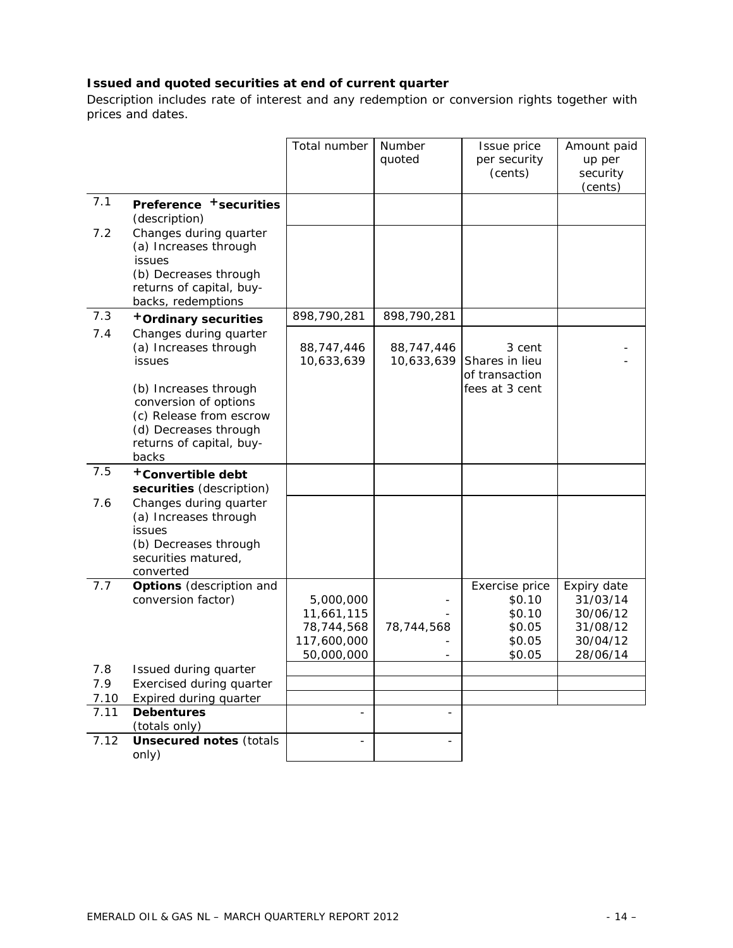### **Issued and quoted securities at end of current quarter**

*Description includes rate of interest and any redemption or conversion rights together with prices and dates.* 

|            |                                                   | Total number | Number      | Issue price    | Amount paid |
|------------|---------------------------------------------------|--------------|-------------|----------------|-------------|
|            |                                                   |              | quoted      | per security   | up per      |
|            |                                                   |              |             | (cents)        | security    |
|            |                                                   |              |             |                | (cents)     |
| 7.1        | Preference +securities<br>(description)           |              |             |                |             |
| 7.2        | Changes during quarter                            |              |             |                |             |
|            | (a) Increases through                             |              |             |                |             |
|            | issues<br>(b) Decreases through                   |              |             |                |             |
|            | returns of capital, buy-                          |              |             |                |             |
|            | backs, redemptions                                |              |             |                |             |
| 7.3        | +Ordinary securities                              | 898,790,281  | 898,790,281 |                |             |
| 7.4        | Changes during quarter                            |              |             |                |             |
|            | (a) Increases through                             | 88,747,446   | 88,747,446  | 3 cent         |             |
|            | issues                                            | 10,633,639   | 10,633,639  | Shares in lieu |             |
|            |                                                   |              |             | of transaction |             |
|            | (b) Increases through                             |              |             | fees at 3 cent |             |
|            | conversion of options<br>(c) Release from escrow  |              |             |                |             |
|            | (d) Decreases through                             |              |             |                |             |
|            | returns of capital, buy-                          |              |             |                |             |
|            | backs                                             |              |             |                |             |
| 7.5        | <sup>+</sup> Convertible debt                     |              |             |                |             |
|            | securities (description)                          |              |             |                |             |
| 7.6        | Changes during quarter                            |              |             |                |             |
|            | (a) Increases through                             |              |             |                |             |
|            | issues                                            |              |             |                |             |
|            | (b) Decreases through<br>securities matured,      |              |             |                |             |
|            | converted                                         |              |             |                |             |
| 7.7        | <b>Options</b> (description and                   |              |             | Exercise price | Expiry date |
|            | conversion factor)                                | 5,000,000    |             | \$0.10         | 31/03/14    |
|            |                                                   | 11,661,115   |             | \$0.10         | 30/06/12    |
|            |                                                   | 78,744,568   | 78,744,568  | \$0.05         | 31/08/12    |
|            |                                                   | 117,600,000  |             | \$0.05         | 30/04/12    |
|            |                                                   | 50,000,000   |             | \$0.05         | 28/06/14    |
| 7.8<br>7.9 | Issued during quarter<br>Exercised during quarter |              |             |                |             |
| 7.10       | Expired during quarter                            |              |             |                |             |
| 7.11       | <b>Debentures</b>                                 |              |             |                |             |
|            | (totals only)                                     |              |             |                |             |
| 7.12       | <b>Unsecured notes (totals</b>                    |              |             |                |             |
|            | only)                                             |              |             |                |             |